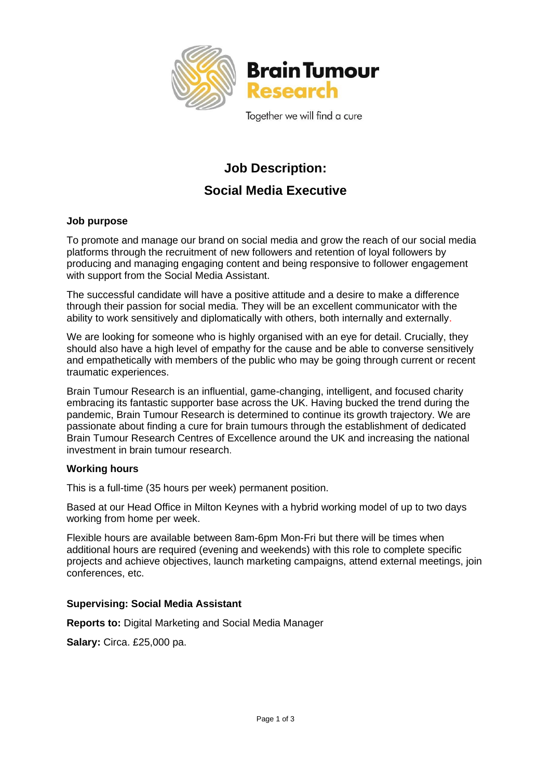

Together we will find a cure

# **Job Description: Social Media Executive**

## **Job purpose**

To promote and manage our brand on social media and grow the reach of our social media platforms through the recruitment of new followers and retention of loyal followers by producing and managing engaging content and being responsive to follower engagement with support from the Social Media Assistant.

The successful candidate will have a positive attitude and a desire to make a difference through their passion for social media. They will be an excellent communicator with the ability to work sensitively and diplomatically with others, both internally and externally.

We are looking for someone who is highly organised with an eye for detail. Crucially, they should also have a high level of empathy for the cause and be able to converse sensitively and empathetically with members of the public who may be going through current or recent traumatic experiences.

Brain Tumour Research is an influential, game-changing, intelligent, and focused charity embracing its fantastic supporter base across the UK. Having bucked the trend during the pandemic, Brain Tumour Research is determined to continue its growth trajectory. We are passionate about finding a cure for brain tumours through the establishment of dedicated Brain Tumour Research Centres of Excellence around the UK and increasing the national investment in brain tumour research.

#### **Working hours**

This is a full-time (35 hours per week) permanent position.

Based at our Head Office in Milton Keynes with a hybrid working model of up to two days working from home per week.

Flexible hours are available between 8am-6pm Mon-Fri but there will be times when additional hours are required (evening and weekends) with this role to complete specific projects and achieve objectives, launch marketing campaigns, attend external meetings, join conferences, etc.

# **Supervising: Social Media Assistant**

**Reports to:** Digital Marketing and Social Media Manager

**Salary:** Circa. £25,000 pa.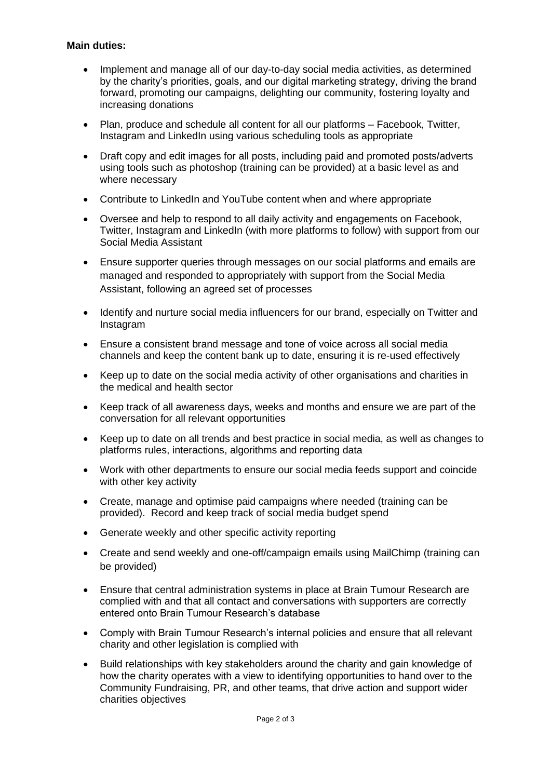## **Main duties:**

- Implement and manage all of our day-to-day social media activities, as determined by the charity's priorities, goals, and our digital marketing strategy, driving the brand forward, promoting our campaigns, delighting our community, fostering loyalty and increasing donations
- Plan, produce and schedule all content for all our platforms Facebook, Twitter, Instagram and LinkedIn using various scheduling tools as appropriate
- Draft copy and edit images for all posts, including paid and promoted posts/adverts using tools such as photoshop (training can be provided) at a basic level as and where necessary
- Contribute to LinkedIn and YouTube content when and where appropriate
- Oversee and help to respond to all daily activity and engagements on Facebook, Twitter, Instagram and LinkedIn (with more platforms to follow) with support from our Social Media Assistant
- Ensure supporter queries through messages on our social platforms and emails are managed and responded to appropriately with support from the Social Media Assistant, following an agreed set of processes
- Identify and nurture social media influencers for our brand, especially on Twitter and **Instagram**
- Ensure a consistent brand message and tone of voice across all social media channels and keep the content bank up to date, ensuring it is re-used effectively
- Keep up to date on the social media activity of other organisations and charities in the medical and health sector
- Keep track of all awareness days, weeks and months and ensure we are part of the conversation for all relevant opportunities
- Keep up to date on all trends and best practice in social media, as well as changes to platforms rules, interactions, algorithms and reporting data
- Work with other departments to ensure our social media feeds support and coincide with other key activity
- Create, manage and optimise paid campaigns where needed (training can be provided). Record and keep track of social media budget spend
- Generate weekly and other specific activity reporting
- Create and send weekly and one-off/campaign emails using MailChimp (training can be provided)
- Ensure that central administration systems in place at Brain Tumour Research are complied with and that all contact and conversations with supporters are correctly entered onto Brain Tumour Research's database
- Comply with Brain Tumour Research's internal policies and ensure that all relevant charity and other legislation is complied with
- Build relationships with key stakeholders around the charity and gain knowledge of how the charity operates with a view to identifying opportunities to hand over to the Community Fundraising, PR, and other teams, that drive action and support wider charities objectives